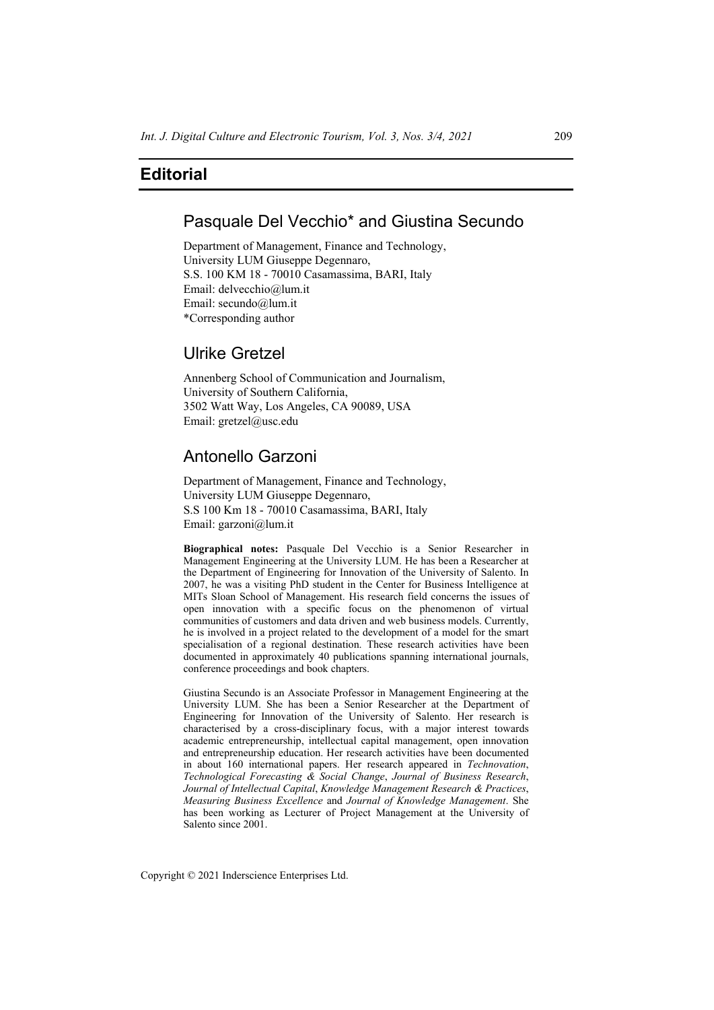# **Editorial**

### Pasquale Del Vecchio\* and Giustina Secundo

Department of Management, Finance and Technology, University LUM Giuseppe Degennaro, S.S. 100 KM 18 - 70010 Casamassima, BARI, Italy Email: delvecchio@lum.it Email: secundo@lum.it \*Corresponding author

# Ulrike Gretzel

Annenberg School of Communication and Journalism, University of Southern California, 3502 Watt Way, Los Angeles, CA 90089, USA Email: gretzel@usc.edu

# Antonello Garzoni

Department of Management, Finance and Technology, University LUM Giuseppe Degennaro, S.S 100 Km 18 - 70010 Casamassima, BARI, Italy Email: garzoni@lum.it

**Biographical notes:** Pasquale Del Vecchio is a Senior Researcher in Management Engineering at the University LUM. He has been a Researcher at the Department of Engineering for Innovation of the University of Salento. In 2007, he was a visiting PhD student in the Center for Business Intelligence at MITs Sloan School of Management. His research field concerns the issues of open innovation with a specific focus on the phenomenon of virtual communities of customers and data driven and web business models. Currently, he is involved in a project related to the development of a model for the smart specialisation of a regional destination. These research activities have been documented in approximately 40 publications spanning international journals, conference proceedings and book chapters.

Giustina Secundo is an Associate Professor in Management Engineering at the University LUM. She has been a Senior Researcher at the Department of Engineering for Innovation of the University of Salento. Her research is characterised by a cross-disciplinary focus, with a major interest towards academic entrepreneurship, intellectual capital management, open innovation and entrepreneurship education. Her research activities have been documented in about 160 international papers. Her research appeared in *Technovation*, *Technological Forecasting & Social Change*, *Journal of Business Research*, *Journal of Intellectual Capital*, *Knowledge Management Research & Practices*, *Measuring Business Excellence* and *Journal of Knowledge Management*. She has been working as Lecturer of Project Management at the University of Salento since 2001.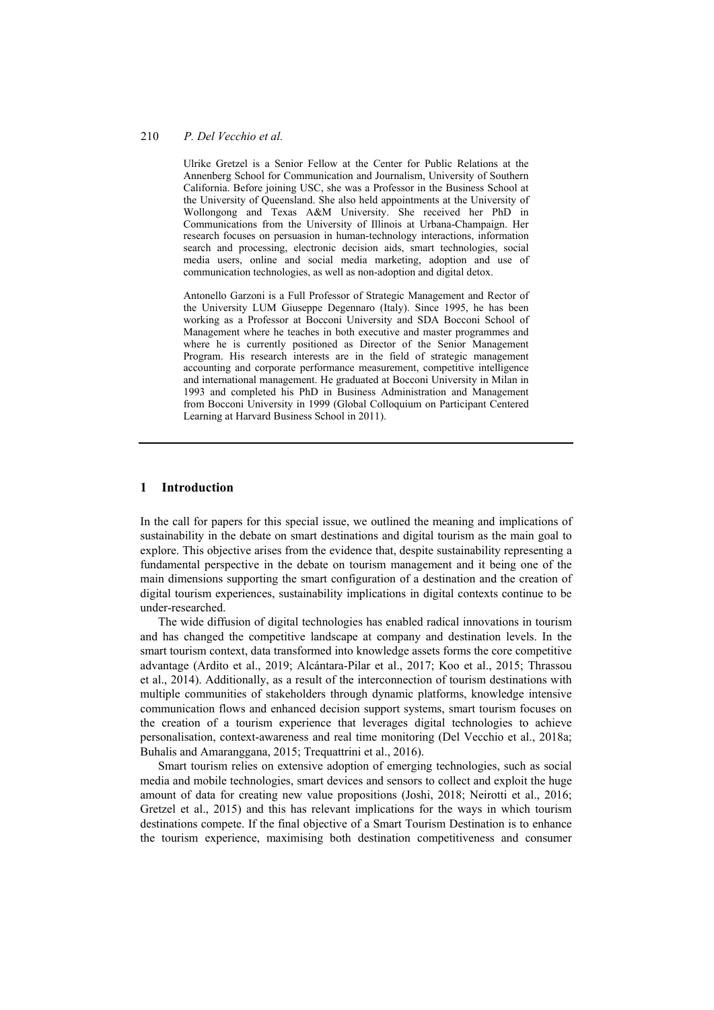#### 210 *P. Del Vecchio et al.*

Ulrike Gretzel is a Senior Fellow at the Center for Public Relations at the Annenberg School for Communication and Journalism, University of Southern California. Before joining USC, she was a Professor in the Business School at the University of Queensland. She also held appointments at the University of Wollongong and Texas A&M University. She received her PhD in Communications from the University of Illinois at Urbana-Champaign. Her research focuses on persuasion in human-technology interactions, information search and processing, electronic decision aids, smart technologies, social media users, online and social media marketing, adoption and use of communication technologies, as well as non-adoption and digital detox.

Antonello Garzoni is a Full Professor of Strategic Management and Rector of the University LUM Giuseppe Degennaro (Italy). Since 1995, he has been working as a Professor at Bocconi University and SDA Bocconi School of Management where he teaches in both executive and master programmes and where he is currently positioned as Director of the Senior Management Program. His research interests are in the field of strategic management accounting and corporate performance measurement, competitive intelligence and international management. He graduated at Bocconi University in Milan in 1993 and completed his PhD in Business Administration and Management from Bocconi University in 1999 (Global Colloquium on Participant Centered Learning at Harvard Business School in 2011).

### **1 Introduction**

In the call for papers for this special issue, we outlined the meaning and implications of sustainability in the debate on smart destinations and digital tourism as the main goal to explore. This objective arises from the evidence that, despite sustainability representing a fundamental perspective in the debate on tourism management and it being one of the main dimensions supporting the smart configuration of a destination and the creation of digital tourism experiences, sustainability implications in digital contexts continue to be under-researched.

The wide diffusion of digital technologies has enabled radical innovations in tourism and has changed the competitive landscape at company and destination levels. In the smart tourism context, data transformed into knowledge assets forms the core competitive advantage (Ardito et al., 2019; Alcántara-Pilar et al., 2017; Koo et al., 2015; Thrassou et al., 2014). Additionally, as a result of the interconnection of tourism destinations with multiple communities of stakeholders through dynamic platforms, knowledge intensive communication flows and enhanced decision support systems, smart tourism focuses on the creation of a tourism experience that leverages digital technologies to achieve personalisation, context-awareness and real time monitoring (Del Vecchio et al., 2018a; Buhalis and Amaranggana, 2015; Trequattrini et al., 2016).

Smart tourism relies on extensive adoption of emerging technologies, such as social media and mobile technologies, smart devices and sensors to collect and exploit the huge amount of data for creating new value propositions (Joshi, 2018; Neirotti et al., 2016; Gretzel et al., 2015) and this has relevant implications for the ways in which tourism destinations compete. If the final objective of a Smart Tourism Destination is to enhance the tourism experience, maximising both destination competitiveness and consumer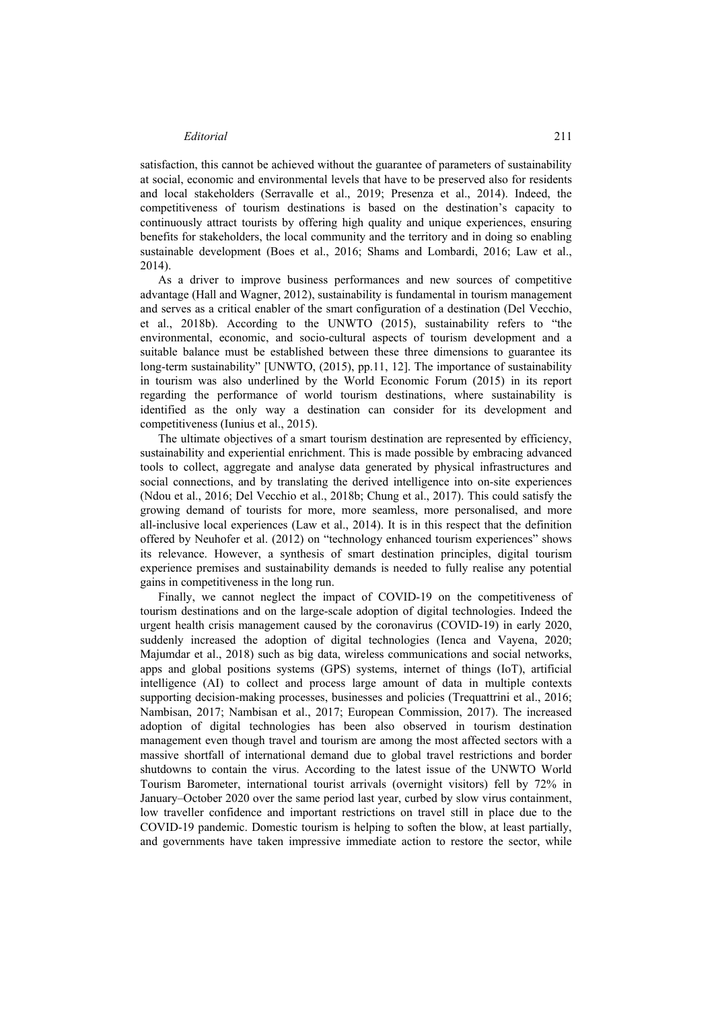#### *Editorial* 211

satisfaction, this cannot be achieved without the guarantee of parameters of sustainability at social, economic and environmental levels that have to be preserved also for residents and local stakeholders (Serravalle et al., 2019; Presenza et al., 2014). Indeed, the competitiveness of tourism destinations is based on the destination's capacity to continuously attract tourists by offering high quality and unique experiences, ensuring benefits for stakeholders, the local community and the territory and in doing so enabling sustainable development (Boes et al., 2016; Shams and Lombardi, 2016; Law et al., 2014).

As a driver to improve business performances and new sources of competitive advantage (Hall and Wagner, 2012), sustainability is fundamental in tourism management and serves as a critical enabler of the smart configuration of a destination (Del Vecchio, et al., 2018b). According to the UNWTO (2015), sustainability refers to "the environmental, economic, and socio-cultural aspects of tourism development and a suitable balance must be established between these three dimensions to guarantee its long-term sustainability" [UNWTO, (2015), pp.11, 12]. The importance of sustainability in tourism was also underlined by the World Economic Forum (2015) in its report regarding the performance of world tourism destinations, where sustainability is identified as the only way a destination can consider for its development and competitiveness (Iunius et al., 2015).

The ultimate objectives of a smart tourism destination are represented by efficiency, sustainability and experiential enrichment. This is made possible by embracing advanced tools to collect, aggregate and analyse data generated by physical infrastructures and social connections, and by translating the derived intelligence into on-site experiences (Ndou et al., 2016; Del Vecchio et al., 2018b; Chung et al., 2017). This could satisfy the growing demand of tourists for more, more seamless, more personalised, and more all-inclusive local experiences (Law et al., 2014). It is in this respect that the definition offered by Neuhofer et al. (2012) on "technology enhanced tourism experiences" shows its relevance. However, a synthesis of smart destination principles, digital tourism experience premises and sustainability demands is needed to fully realise any potential gains in competitiveness in the long run.

Finally, we cannot neglect the impact of COVID-19 on the competitiveness of tourism destinations and on the large-scale adoption of digital technologies. Indeed the urgent health crisis management caused by the coronavirus (COVID-19) in early 2020, suddenly increased the adoption of digital technologies (Ienca and Vayena, 2020; Majumdar et al., 2018) such as big data, wireless communications and social networks, apps and global positions systems (GPS) systems, internet of things (IoT), artificial intelligence (AI) to collect and process large amount of data in multiple contexts supporting decision-making processes, businesses and policies (Trequattrini et al., 2016; Nambisan, 2017; Nambisan et al., 2017; European Commission, 2017). The increased adoption of digital technologies has been also observed in tourism destination management even though travel and tourism are among the most affected sectors with a massive shortfall of international demand due to global travel restrictions and border shutdowns to contain the virus. According to the latest issue of the UNWTO World Tourism Barometer, international tourist arrivals (overnight visitors) fell by 72% in January–October 2020 over the same period last year, curbed by slow virus containment, low traveller confidence and important restrictions on travel still in place due to the COVID-19 pandemic. Domestic tourism is helping to soften the blow, at least partially, and governments have taken impressive immediate action to restore the sector, while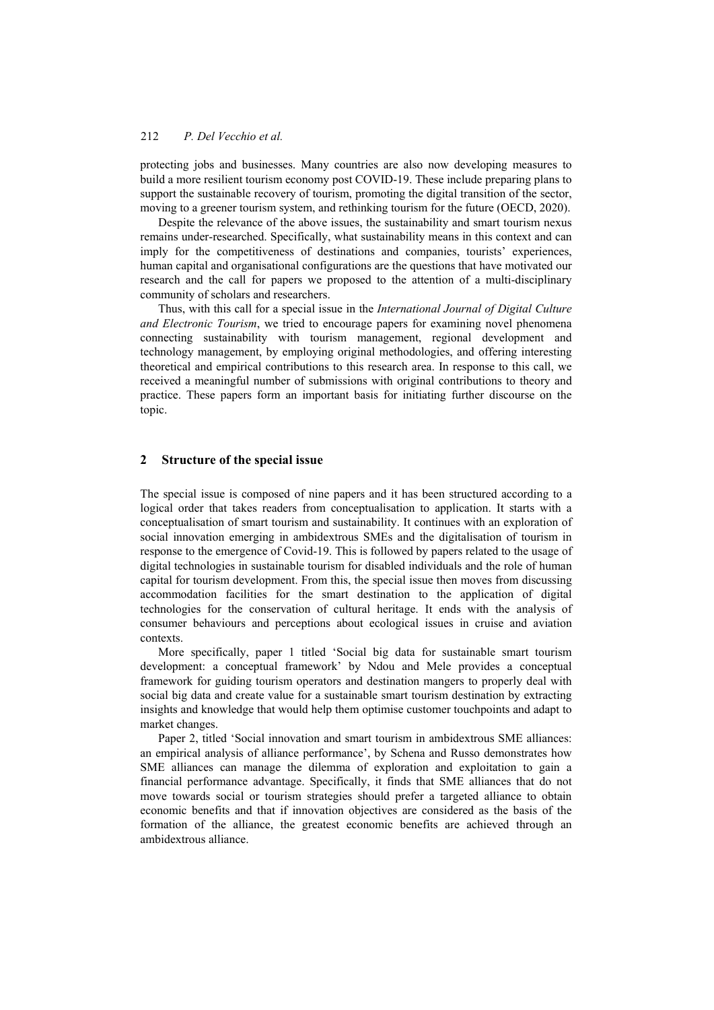protecting jobs and businesses. Many countries are also now developing measures to build a more resilient tourism economy post COVID-19. These include preparing plans to support the sustainable recovery of tourism, promoting the digital transition of the sector, moving to a greener tourism system, and rethinking tourism for the future (OECD, 2020).

Despite the relevance of the above issues, the sustainability and smart tourism nexus remains under-researched. Specifically, what sustainability means in this context and can imply for the competitiveness of destinations and companies, tourists' experiences, human capital and organisational configurations are the questions that have motivated our research and the call for papers we proposed to the attention of a multi-disciplinary community of scholars and researchers.

Thus, with this call for a special issue in the *International Journal of Digital Culture and Electronic Tourism*, we tried to encourage papers for examining novel phenomena connecting sustainability with tourism management, regional development and technology management, by employing original methodologies, and offering interesting theoretical and empirical contributions to this research area. In response to this call, we received a meaningful number of submissions with original contributions to theory and practice. These papers form an important basis for initiating further discourse on the topic.

### **2 Structure of the special issue**

The special issue is composed of nine papers and it has been structured according to a logical order that takes readers from conceptualisation to application. It starts with a conceptualisation of smart tourism and sustainability. It continues with an exploration of social innovation emerging in ambidextrous SMEs and the digitalisation of tourism in response to the emergence of Covid-19. This is followed by papers related to the usage of digital technologies in sustainable tourism for disabled individuals and the role of human capital for tourism development. From this, the special issue then moves from discussing accommodation facilities for the smart destination to the application of digital technologies for the conservation of cultural heritage. It ends with the analysis of consumer behaviours and perceptions about ecological issues in cruise and aviation contexts.

More specifically, paper 1 titled 'Social big data for sustainable smart tourism development: a conceptual framework' by Ndou and Mele provides a conceptual framework for guiding tourism operators and destination mangers to properly deal with social big data and create value for a sustainable smart tourism destination by extracting insights and knowledge that would help them optimise customer touchpoints and adapt to market changes.

Paper 2, titled 'Social innovation and smart tourism in ambidextrous SME alliances: an empirical analysis of alliance performance', by Schena and Russo demonstrates how SME alliances can manage the dilemma of exploration and exploitation to gain a financial performance advantage. Specifically, it finds that SME alliances that do not move towards social or tourism strategies should prefer a targeted alliance to obtain economic benefits and that if innovation objectives are considered as the basis of the formation of the alliance, the greatest economic benefits are achieved through an ambidextrous alliance.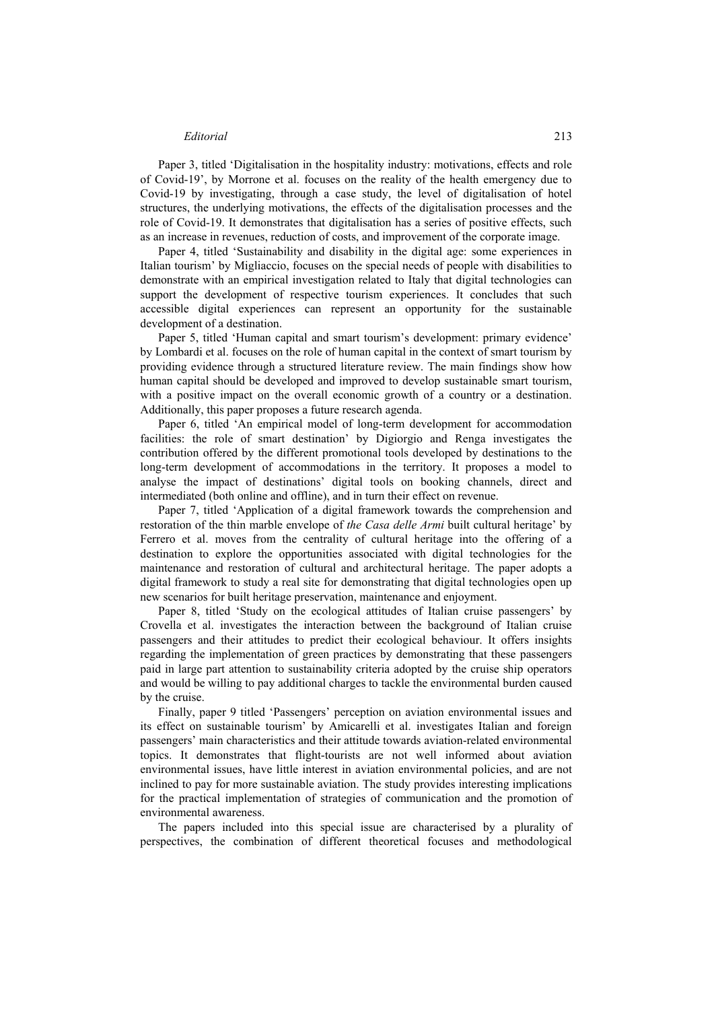#### *Editorial* 213

Paper 3, titled 'Digitalisation in the hospitality industry: motivations, effects and role of Covid-19', by Morrone et al. focuses on the reality of the health emergency due to Covid-19 by investigating, through a case study, the level of digitalisation of hotel structures, the underlying motivations, the effects of the digitalisation processes and the role of Covid-19. It demonstrates that digitalisation has a series of positive effects, such as an increase in revenues, reduction of costs, and improvement of the corporate image.

Paper 4, titled 'Sustainability and disability in the digital age: some experiences in Italian tourism' by Migliaccio, focuses on the special needs of people with disabilities to demonstrate with an empirical investigation related to Italy that digital technologies can support the development of respective tourism experiences. It concludes that such accessible digital experiences can represent an opportunity for the sustainable development of a destination.

Paper 5, titled 'Human capital and smart tourism's development: primary evidence' by Lombardi et al. focuses on the role of human capital in the context of smart tourism by providing evidence through a structured literature review. The main findings show how human capital should be developed and improved to develop sustainable smart tourism, with a positive impact on the overall economic growth of a country or a destination. Additionally, this paper proposes a future research agenda.

Paper 6, titled 'An empirical model of long-term development for accommodation facilities: the role of smart destination' by Digiorgio and Renga investigates the contribution offered by the different promotional tools developed by destinations to the long-term development of accommodations in the territory. It proposes a model to analyse the impact of destinations' digital tools on booking channels, direct and intermediated (both online and offline), and in turn their effect on revenue.

Paper 7, titled 'Application of a digital framework towards the comprehension and restoration of the thin marble envelope of *the Casa delle Armi* built cultural heritage' by Ferrero et al. moves from the centrality of cultural heritage into the offering of a destination to explore the opportunities associated with digital technologies for the maintenance and restoration of cultural and architectural heritage. The paper adopts a digital framework to study a real site for demonstrating that digital technologies open up new scenarios for built heritage preservation, maintenance and enjoyment.

Paper 8, titled 'Study on the ecological attitudes of Italian cruise passengers' by Crovella et al. investigates the interaction between the background of Italian cruise passengers and their attitudes to predict their ecological behaviour. It offers insights regarding the implementation of green practices by demonstrating that these passengers paid in large part attention to sustainability criteria adopted by the cruise ship operators and would be willing to pay additional charges to tackle the environmental burden caused by the cruise.

Finally, paper 9 titled 'Passengers' perception on aviation environmental issues and its effect on sustainable tourism' by Amicarelli et al. investigates Italian and foreign passengers' main characteristics and their attitude towards aviation-related environmental topics. It demonstrates that flight-tourists are not well informed about aviation environmental issues, have little interest in aviation environmental policies, and are not inclined to pay for more sustainable aviation. The study provides interesting implications for the practical implementation of strategies of communication and the promotion of environmental awareness.

The papers included into this special issue are characterised by a plurality of perspectives, the combination of different theoretical focuses and methodological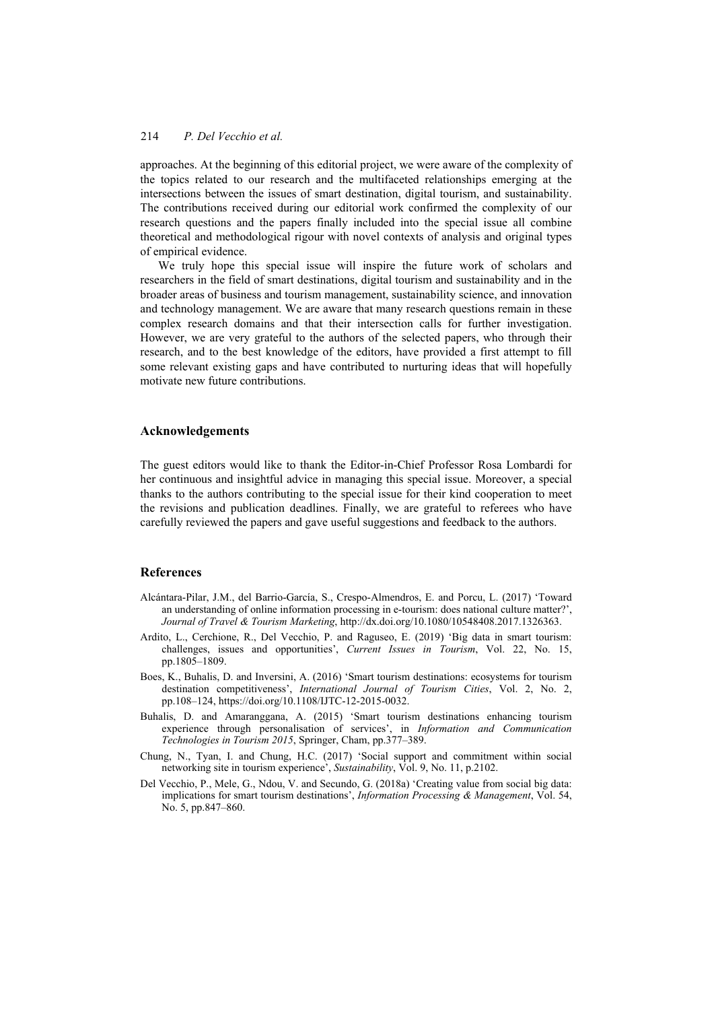approaches. At the beginning of this editorial project, we were aware of the complexity of the topics related to our research and the multifaceted relationships emerging at the intersections between the issues of smart destination, digital tourism, and sustainability. The contributions received during our editorial work confirmed the complexity of our research questions and the papers finally included into the special issue all combine theoretical and methodological rigour with novel contexts of analysis and original types of empirical evidence.

We truly hope this special issue will inspire the future work of scholars and researchers in the field of smart destinations, digital tourism and sustainability and in the broader areas of business and tourism management, sustainability science, and innovation and technology management. We are aware that many research questions remain in these complex research domains and that their intersection calls for further investigation. However, we are very grateful to the authors of the selected papers, who through their research, and to the best knowledge of the editors, have provided a first attempt to fill some relevant existing gaps and have contributed to nurturing ideas that will hopefully motivate new future contributions.

#### **Acknowledgements**

The guest editors would like to thank the Editor-in-Chief Professor Rosa Lombardi for her continuous and insightful advice in managing this special issue. Moreover, a special thanks to the authors contributing to the special issue for their kind cooperation to meet the revisions and publication deadlines. Finally, we are grateful to referees who have carefully reviewed the papers and gave useful suggestions and feedback to the authors.

#### **References**

- Alcántara-Pilar, J.M., del Barrio-García, S., Crespo-Almendros, E. and Porcu, L. (2017) 'Toward an understanding of online information processing in e-tourism: does national culture matter?', *Journal of Travel & Tourism Marketing*, http://dx.doi.org/10.1080/10548408.2017.1326363.
- Ardito, L., Cerchione, R., Del Vecchio, P. and Raguseo, E. (2019) 'Big data in smart tourism: challenges, issues and opportunities', *Current Issues in Tourism*, Vol. 22, No. 15, pp.1805–1809.
- Boes, K., Buhalis, D. and Inversini, A. (2016) 'Smart tourism destinations: ecosystems for tourism destination competitiveness', *International Journal of Tourism Cities*, Vol. 2, No. 2, pp.108–124, https://doi.org/10.1108/IJTC-12-2015-0032.
- Buhalis, D. and Amaranggana, A. (2015) 'Smart tourism destinations enhancing tourism experience through personalisation of services', in *Information and Communication Technologies in Tourism 2015*, Springer, Cham, pp.377–389.
- Chung, N., Tyan, I. and Chung, H.C. (2017) 'Social support and commitment within social networking site in tourism experience', *Sustainability*, Vol. 9, No. 11, p.2102.
- Del Vecchio, P., Mele, G., Ndou, V. and Secundo, G. (2018a) 'Creating value from social big data: implications for smart tourism destinations', *Information Processing & Management*, Vol. 54, No. 5, pp.847–860.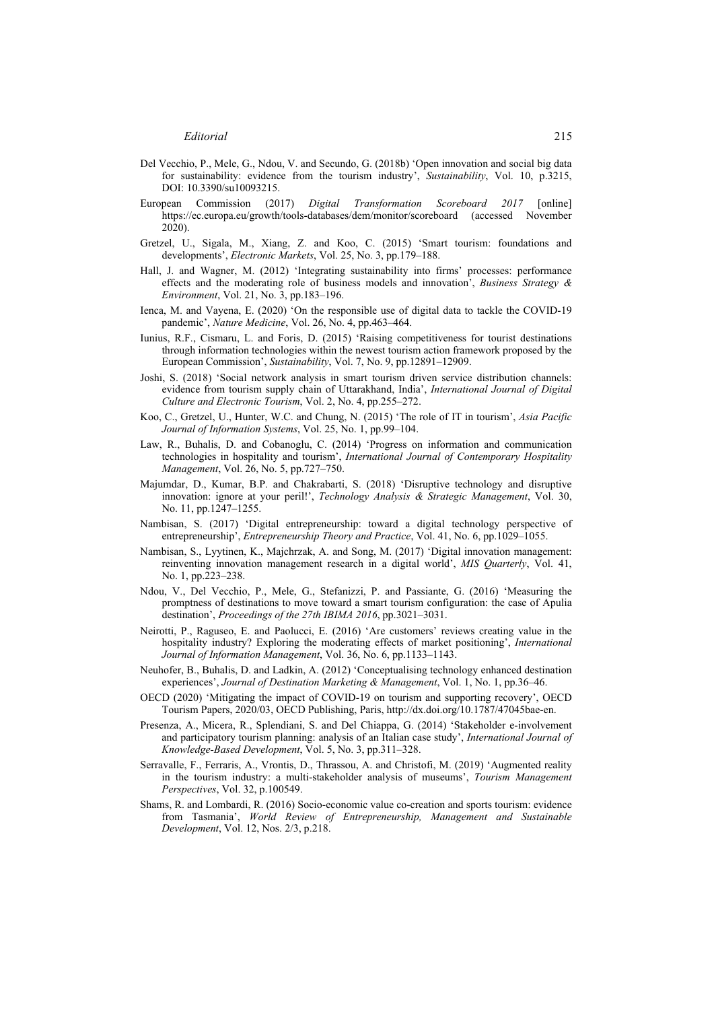- Del Vecchio, P., Mele, G., Ndou, V. and Secundo, G. (2018b) 'Open innovation and social big data for sustainability: evidence from the tourism industry', *Sustainability*, Vol. 10, p.3215, DOI: 10.3390/su10093215.
- European Commission (2017) *Digital Transformation Scoreboard 2017* [online] https://ec.europa.eu/growth/tools-databases/dem/monitor/scoreboard (accessed November 2020).
- Gretzel, U., Sigala, M., Xiang, Z. and Koo, C. (2015) 'Smart tourism: foundations and developments', *Electronic Markets*, Vol. 25, No. 3, pp.179–188.
- Hall, J. and Wagner, M. (2012) 'Integrating sustainability into firms' processes: performance effects and the moderating role of business models and innovation', *Business Strategy & Environment*, Vol. 21, No. 3, pp.183–196.
- Ienca, M. and Vayena, E. (2020) 'On the responsible use of digital data to tackle the COVID-19 pandemic', *Nature Medicine*, Vol. 26, No. 4, pp.463–464.
- Iunius, R.F., Cismaru, L. and Foris, D. (2015) 'Raising competitiveness for tourist destinations through information technologies within the newest tourism action framework proposed by the European Commission', *Sustainability*, Vol. 7, No. 9, pp.12891–12909.
- Joshi, S. (2018) 'Social network analysis in smart tourism driven service distribution channels: evidence from tourism supply chain of Uttarakhand, India', *International Journal of Digital Culture and Electronic Tourism*, Vol. 2, No. 4, pp.255–272.
- Koo, C., Gretzel, U., Hunter, W.C. and Chung, N. (2015) 'The role of IT in tourism', *Asia Pacific Journal of Information Systems*, Vol. 25, No. 1, pp.99–104.
- Law, R., Buhalis, D. and Cobanoglu, C. (2014) 'Progress on information and communication technologies in hospitality and tourism', *International Journal of Contemporary Hospitality Management*, Vol. 26, No. 5, pp.727–750.
- Majumdar, D., Kumar, B.P. and Chakrabarti, S. (2018) 'Disruptive technology and disruptive innovation: ignore at your peril!', *Technology Analysis & Strategic Management*, Vol. 30, No. 11, pp.1247–1255.
- Nambisan, S. (2017) 'Digital entrepreneurship: toward a digital technology perspective of entrepreneurship', *Entrepreneurship Theory and Practice*, Vol. 41, No. 6, pp.1029–1055.
- Nambisan, S., Lyytinen, K., Majchrzak, A. and Song, M. (2017) 'Digital innovation management: reinventing innovation management research in a digital world', *MIS Quarterly*, Vol. 41, No. 1, pp.223–238.
- Ndou, V., Del Vecchio, P., Mele, G., Stefanizzi, P. and Passiante, G. (2016) 'Measuring the promptness of destinations to move toward a smart tourism configuration: the case of Apulia destination', *Proceedings of the 27th IBIMA 2016*, pp.3021–3031.
- Neirotti, P., Raguseo, E. and Paolucci, E. (2016) 'Are customers' reviews creating value in the hospitality industry? Exploring the moderating effects of market positioning', *International Journal of Information Management*, Vol. 36, No. 6, pp.1133–1143.
- Neuhofer, B., Buhalis, D. and Ladkin, A. (2012) 'Conceptualising technology enhanced destination experiences', *Journal of Destination Marketing & Management*, Vol. 1, No. 1, pp.36–46.
- OECD (2020) 'Mitigating the impact of COVID-19 on tourism and supporting recovery', OECD Tourism Papers, 2020/03, OECD Publishing, Paris, http://dx.doi.org/10.1787/47045bae-en.
- Presenza, A., Micera, R., Splendiani, S. and Del Chiappa, G. (2014) 'Stakeholder e-involvement and participatory tourism planning: analysis of an Italian case study', *International Journal of Knowledge-Based Development*, Vol. 5, No. 3, pp.311–328.
- Serravalle, F., Ferraris, A., Vrontis, D., Thrassou, A. and Christofi, M. (2019) 'Augmented reality in the tourism industry: a multi-stakeholder analysis of museums', *Tourism Management Perspectives*, Vol. 32, p.100549.
- Shams, R. and Lombardi, R. (2016) Socio-economic value co-creation and sports tourism: evidence from Tasmania', *World Review of Entrepreneurship, Management and Sustainable Development*, Vol. 12, Nos. 2/3, p.218.